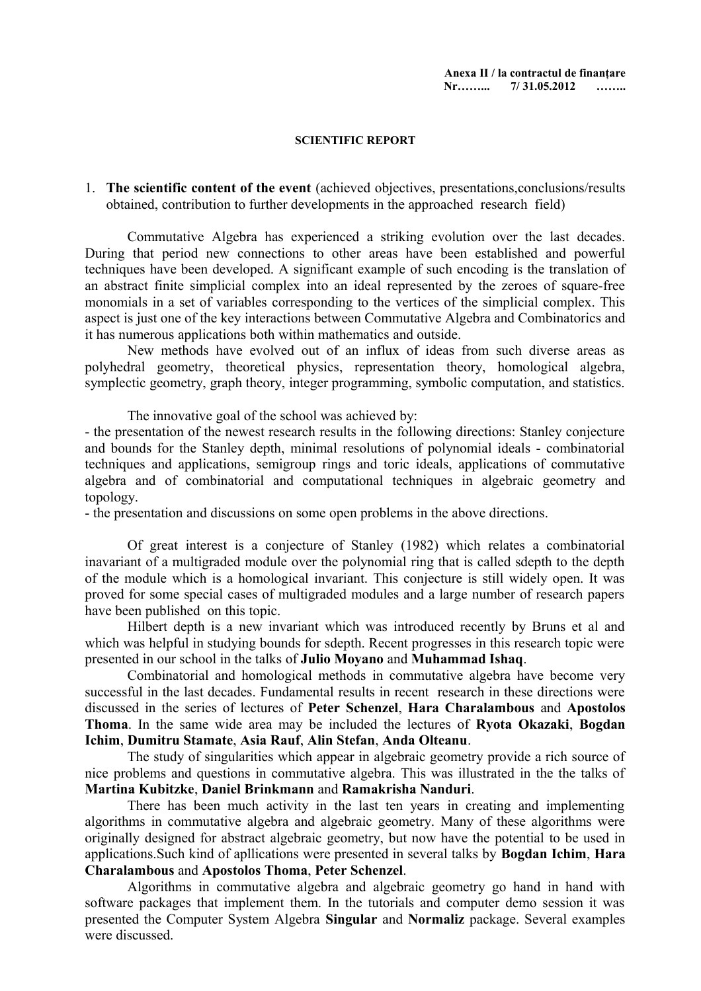#### **SCIENTIFIC REPORT**

1. **The scientific content of the event** (achieved objectives, presentations,conclusions/results obtained, contribution to further developments in the approached research field)

Commutative Algebra has experienced a striking evolution over the last decades. During that period new connections to other areas have been established and powerful techniques have been developed. A significant example of such encoding is the translation of an abstract finite simplicial complex into an ideal represented by the zeroes of square-free monomials in a set of variables corresponding to the vertices of the simplicial complex. This aspect is just one of the key interactions between Commutative Algebra and Combinatorics and it has numerous applications both within mathematics and outside.

New methods have evolved out of an influx of ideas from such diverse areas as polyhedral geometry, theoretical physics, representation theory, homological algebra, symplectic geometry, graph theory, integer programming, symbolic computation, and statistics.

The innovative goal of the school was achieved by:

- the presentation of the newest research results in the following directions: Stanley conjecture and bounds for the Stanley depth, minimal resolutions of polynomial ideals - combinatorial techniques and applications, semigroup rings and toric ideals, applications of commutative algebra and of combinatorial and computational techniques in algebraic geometry and topology.

- the presentation and discussions on some open problems in the above directions.

Of great interest is a conjecture of Stanley (1982) which relates a combinatorial inavariant of a multigraded module over the polynomial ring that is called sdepth to the depth of the module which is a homological invariant. This conjecture is still widely open. It was proved for some special cases of multigraded modules and a large number of research papers have been published on this topic.

Hilbert depth is a new invariant which was introduced recently by Bruns et al and which was helpful in studying bounds for sdepth. Recent progresses in this research topic were presented in our school in the talks of **Julio Moyano** and **Muhammad Ishaq**.

Combinatorial and homological methods in commutative algebra have become very successful in the last decades. Fundamental results in recent research in these directions were discussed in the series of lectures of **Peter Schenzel**, **Hara Charalambous** and **Apostolos Thoma**. In the same wide area may be included the lectures of **Ryota Okazaki**, **Bogdan Ichim**, **Dumitru Stamate**, **Asia Rauf**, **Alin Stefan**, **Anda Olteanu**.

The study of singularities which appear in algebraic geometry provide a rich source of nice problems and questions in commutative algebra. This was illustrated in the the talks of **Martina Kubitzke**, **Daniel Brinkmann** and **Ramakrisha Nanduri**.

There has been much activity in the last ten years in creating and implementing algorithms in commutative algebra and algebraic geometry. Many of these algorithms were originally designed for abstract algebraic geometry, but now have the potential to be used in applications.Such kind of apllications were presented in several talks by **Bogdan Ichim**, **Hara Charalambous** and **Apostolos Thoma**, **Peter Schenzel**.

Algorithms in commutative algebra and algebraic geometry go hand in hand with software packages that implement them. In the tutorials and computer demo session it was presented the Computer System Algebra **Singular** and **Normaliz** package. Several examples were discussed.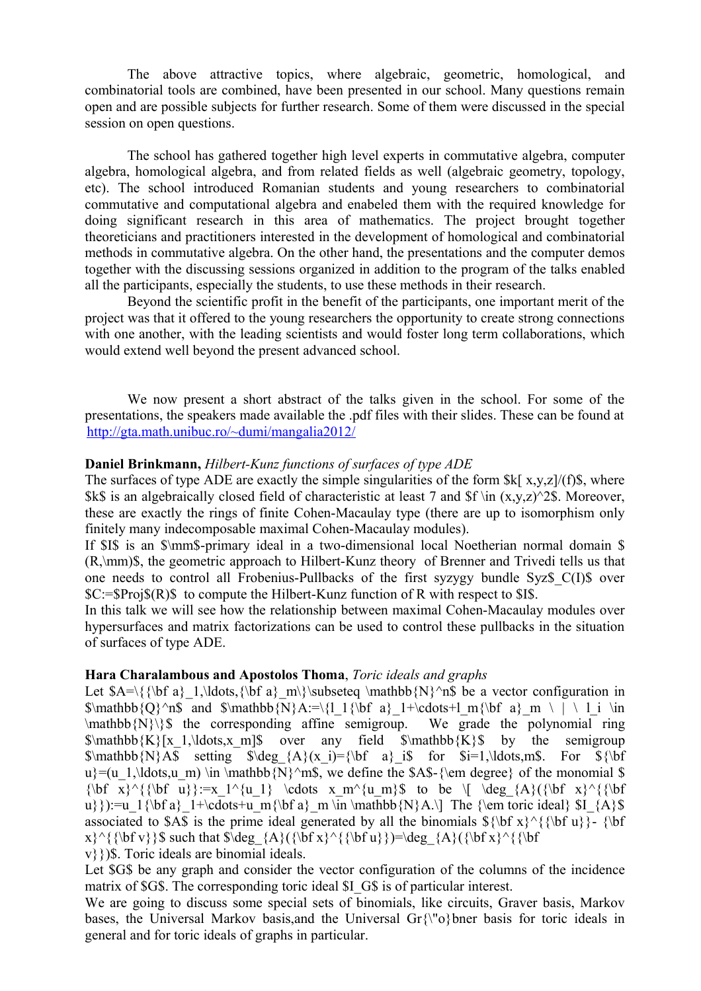The above attractive topics, where algebraic, geometric, homological, and combinatorial tools are combined, have been presented in our school. Many questions remain open and are possible subjects for further research. Some of them were discussed in the special session on open questions.

The school has gathered together high level experts in commutative algebra, computer algebra, homological algebra, and from related fields as well (algebraic geometry, topology, etc). The school introduced Romanian students and young researchers to combinatorial commutative and computational algebra and enabeled them with the required knowledge for doing significant research in this area of mathematics. The project brought together theoreticians and practitioners interested in the development of homological and combinatorial methods in commutative algebra. On the other hand, the presentations and the computer demos together with the discussing sessions organized in addition to the program of the talks enabled all the participants, especially the students, to use these methods in their research.

Beyond the scientific profit in the benefit of the participants, one important merit of the project was that it offered to the young researchers the opportunity to create strong connections with one another, with the leading scientists and would foster long term collaborations, which would extend well beyond the present advanced school.

We now present a short abstract of the talks given in the school. For some of the presentations, the speakers made available the .pdf files with their slides. These can be found at <http://gta.math.unibuc.ro/~dumi/mangalia2012/>

#### **Daniel Brinkmann,** *Hilbert-Kunz functions of surfaces of type ADE*

The surfaces of type ADE are exactly the simple singularities of the form  $k[x,y,z]/(f)\$ , where \$k\$ is an algebraically closed field of characteristic at least 7 and \$f \in  $(x,y,z)^2$ \$. Moreover, these are exactly the rings of finite Cohen-Macaulay type (there are up to isomorphism only finitely many indecomposable maximal Cohen-Macaulay modules).

If \$I\$ is an \$\mm\$-primary ideal in a two-dimensional local Noetherian normal domain \$ (R,\mm)\$, the geometric approach to Hilbert-Kunz theory of Brenner and Trivedi tells us that one needs to control all Frobenius-Pullbacks of the first syzygy bundle Syz\$\_C(I)\$ over \$C:=\$Proj\$(R)\$ to compute the Hilbert-Kunz function of R with respect to \$I\$.

In this talk we will see how the relationship between maximal Cohen-Macaulay modules over hypersurfaces and matrix factorizations can be used to control these pullbacks in the situation of surfaces of type ADE.

#### **Hara Charalambous and Apostolos Thoma**, *Toric ideals and graphs*

Let  $A=\{\{\bf b\}\ \text{all}\dots,\{\bf a\} \ \text{subseteq} \ \text{sub} \ \text{subseteq} \ \text{subseteq} \$  be a vector configuration in  $\mathbb{Q}^n\$  and  $\mathbb{N}A:=\{1\{\bf bf a\} \ 1+\cdots+1\ m\{\bf bf a\} \ m \ | \ 1\ in$  $\mathbb{N}\$  the corresponding affine semigroup. We grade the polynomial ring  $\mathbf{K}[x_1,\ldots,x_m]$  over any field  $\mathbf{K}[x]$  by the semigroup  $\mathbb{N}$ A\$ setting  $\deg$ {A}(x\_i)={\bf a} i\$ for \$i=1,\ldots,m\$. For \${\bf u}=(u\_1,\ldots,u\_m) \in \mathbb{N}^m\$, we define the \$A\$-{\em degree} of the monomial \$  ${\bf x}^{\bf n}:=x_1^{\{u_1\}} \cdots x_m^{\{u_m\}}$  to be  $\{ \deg_{A}\{\{\bf bf\ x\}^{\bf n}\} \}$ u}}):=u\_1{\bf a}\_1+\cdots+u\_m{\bf a}\_m \in \mathbb{N}A.\] The {\em toric ideal} \$I\_{A}\$ associated to \$A\$ is the prime ideal generated by all the binomials  ${\{\bf b}^{\prime}\}\$   ${\{\bf b}^{\prime}\}$ .  $x$   $\{\bf b f v\}\$  such that  $\deg_{A}({\bf b f x}^{\bf u})= \deg_{A}({\bf b f x}^{\bf b})$ 

v}})\$. Toric ideals are binomial ideals.

Let \$G\$ be any graph and consider the vector configuration of the columns of the incidence matrix of \$G\$. The corresponding toric ideal \$I G\$ is of particular interest.

We are going to discuss some special sets of binomials, like circuits, Graver basis, Markov bases, the Universal Markov basis, and the Universal Gr $\{\n\$ o}bner basis for toric ideals in general and for toric ideals of graphs in particular.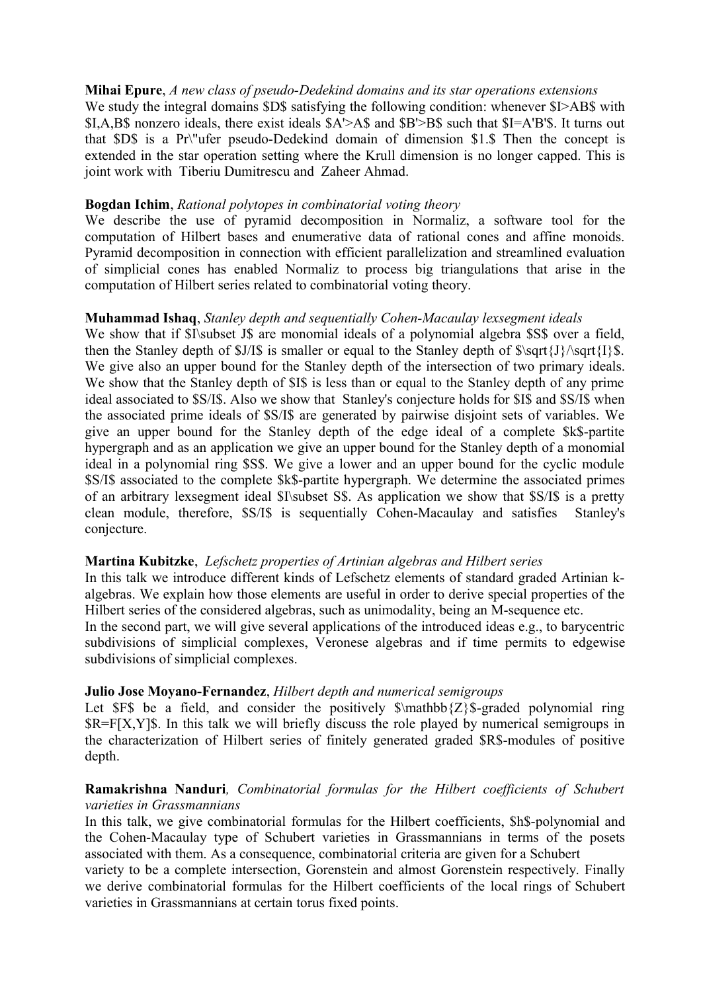## **Mihai Epure**, *A new class of pseudo-Dedekind domains and its star operations extensions*

We study the integral domains \$D\$ satisfying the following condition: whenever \$I>AB\$ with \$I,A,B\$ nonzero ideals, there exist ideals \$A'>A\$ and \$B'>B\$ such that \$I=A'B'\$. It turns out that \$D\$ is a Pr\"ufer pseudo-Dedekind domain of dimension \$1.\$ Then the concept is extended in the star operation setting where the Krull dimension is no longer capped. This is joint work with Tiberiu Dumitrescu and Zaheer Ahmad.

#### **Bogdan Ichim**, *Rational polytopes in combinatorial voting theory*

We describe the use of pyramid decomposition in Normaliz, a software tool for the computation of Hilbert bases and enumerative data of rational cones and affine monoids. Pyramid decomposition in connection with efficient parallelization and streamlined evaluation of simplicial cones has enabled Normaliz to process big triangulations that arise in the computation of Hilbert series related to combinatorial voting theory.

#### **Muhammad Ishaq**, *Stanley depth and sequentially Cohen-Macaulay lexsegment ideals*

We show that if \$I\subset J\$ are monomial ideals of a polynomial algebra \$S\$ over a field, then the Stanley depth of  $J/S$  is smaller or equal to the Stanley depth of  $\sqrt{J}\sqrt{J}\sqrt{I}$ . We give also an upper bound for the Stanley depth of the intersection of two primary ideals. We show that the Stanley depth of \$I\$ is less than or equal to the Stanley depth of any prime ideal associated to \$S/I\$. Also we show that Stanley's conjecture holds for \$I\$ and \$S/I\$ when the associated prime ideals of \$S/I\$ are generated by pairwise disjoint sets of variables. We give an upper bound for the Stanley depth of the edge ideal of a complete \$k\$-partite hypergraph and as an application we give an upper bound for the Stanley depth of a monomial ideal in a polynomial ring \$S\$. We give a lower and an upper bound for the cyclic module \$S/I\$ associated to the complete \$k\$-partite hypergraph. We determine the associated primes of an arbitrary lexsegment ideal \$I\subset S\$. As application we show that \$S/I\$ is a pretty clean module, therefore, \$S/I\$ is sequentially Cohen-Macaulay and satisfies Stanley's conjecture.

## **Martina Kubitzke**, *Lefschetz properties of Artinian algebras and Hilbert series*

In this talk we introduce different kinds of Lefschetz elements of standard graded Artinian kalgebras. We explain how those elements are useful in order to derive special properties of the Hilbert series of the considered algebras, such as unimodality, being an M-sequence etc.

In the second part, we will give several applications of the introduced ideas e.g., to barycentric subdivisions of simplicial complexes, Veronese algebras and if time permits to edgewise subdivisions of simplicial complexes.

## **Julio Jose Moyano-Fernandez**, *Hilbert depth and numerical semigroups*

Let  $F\$  be a field, and consider the positively  $\mathcal{Z}\$ -graded polynomial ring \$R=F[X,Y]\$. In this talk we will briefly discuss the role played by numerical semigroups in the characterization of Hilbert series of finitely generated graded \$R\$-modules of positive depth.

# **Ramakrishna Nanduri***, Combinatorial formulas for the Hilbert coefficients of Schubert varieties in Grassmannians*

In this talk, we give combinatorial formulas for the Hilbert coefficients, \$h\$-polynomial and the Cohen-Macaulay type of Schubert varieties in Grassmannians in terms of the posets associated with them. As a consequence, combinatorial criteria are given for a Schubert

variety to be a complete intersection, Gorenstein and almost Gorenstein respectively. Finally we derive combinatorial formulas for the Hilbert coefficients of the local rings of Schubert varieties in Grassmannians at certain torus fixed points.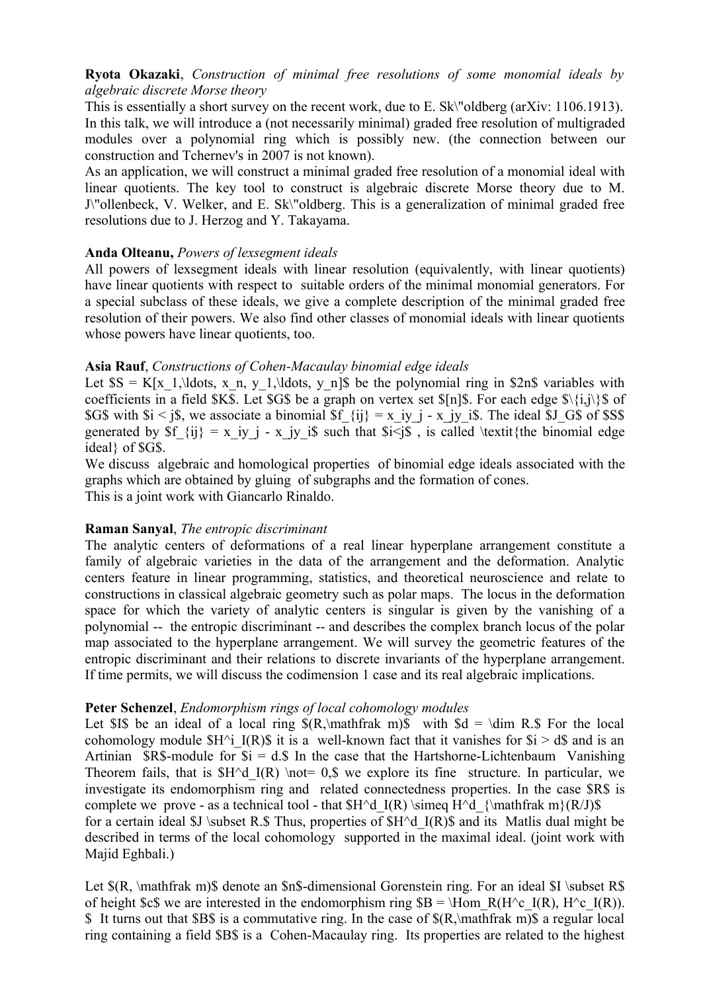# **Ryota Okazaki**, *Construction of minimal free resolutions of some monomial ideals by algebraic discrete Morse theory*

This is essentially a short survey on the recent work, due to E. Sk\"oldberg (arXiv: 1106.1913). In this talk, we will introduce a (not necessarily minimal) graded free resolution of multigraded modules over a polynomial ring which is possibly new. (the connection between our construction and Tchernev's in 2007 is not known).

As an application, we will construct a minimal graded free resolution of a monomial ideal with linear quotients. The key tool to construct is algebraic discrete Morse theory due to M. J\"ollenbeck, V. Welker, and E. Sk\"oldberg. This is a generalization of minimal graded free resolutions due to J. Herzog and Y. Takayama.

## **Anda Olteanu,** *Powers of lexsegment ideals*

All powers of lexsegment ideals with linear resolution (equivalently, with linear quotients) have linear quotients with respect to suitable orders of the minimal monomial generators. For a special subclass of these ideals, we give a complete description of the minimal graded free resolution of their powers. We also find other classes of monomial ideals with linear quotients whose powers have linear quotients, too.

## **Asia Rauf**, *Constructions of Cohen-Macaulay binomial edge ideals*

Let  $SS = K[x_1,\ldots, x_n, y_1,\ldots, y_n]$  be the polynomial ring in \$2n\$ variables with coefficients in a field \$K\$. Let \$G\$ be a graph on vertex set  $\{n\}$ \$. For each edge  $\{\{i,j\}\}$ \$ of \$G\$ with  $i < j$ \$, we associate a binomial \$f  $\{ij\} = x_i$  iy j - x jy i\$. The ideal \$J G\$ of \$S\$ generated by  $f_{ii} = x_iy_i - x_jy_i$  is such that  $f_i \leq y_i$ , is called \textit{the binomial edge ideal} of \$G\$.

We discuss algebraic and homological properties of binomial edge ideals associated with the graphs which are obtained by gluing of subgraphs and the formation of cones. This is a joint work with Giancarlo Rinaldo.

# **Raman Sanyal**, *The entropic discriminant*

The analytic centers of deformations of a real linear hyperplane arrangement constitute a family of algebraic varieties in the data of the arrangement and the deformation. Analytic centers feature in linear programming, statistics, and theoretical neuroscience and relate to constructions in classical algebraic geometry such as polar maps. The locus in the deformation space for which the variety of analytic centers is singular is given by the vanishing of a polynomial -- the entropic discriminant -- and describes the complex branch locus of the polar map associated to the hyperplane arrangement. We will survey the geometric features of the entropic discriminant and their relations to discrete invariants of the hyperplane arrangement. If time permits, we will discuss the codimension 1 case and its real algebraic implications.

## **Peter Schenzel**, *Endomorphism rings of local cohomology modules*

Let \$I\$ be an ideal of a local ring  $(R,\mathbf{m})\$  with  $d = \dim R.\$  For the local cohomology module  $$H^{\wedge}$  I(R)\$ it is a well-known fact that it vanishes for  $$i > d$$  and is an Artinian  $\text{SR}$ -module for  $\text{Si} = d.\text{S}$  In the case that the Hartshorne-Lichtenbaum Vanishing Theorem fails, that is  $H^dI(R) \not= 0.$  we explore its fine structure. In particular, we investigate its endomorphism ring and related connectedness properties. In the case \$R\$ is complete we prove - as a technical tool - that  $H^d$  I(R) \simeq H^d\_{\mathfrak m}(R/J)\$ for a certain ideal  $I \subset R.S$  Thus, properties of  $H^d$  I(R) $\$ s and its Matlis dual might be described in terms of the local cohomology supported in the maximal ideal. (joint work with Majid Eghbali.)

Let  $(R, \mathfrak{m})\$  denote an  $\mathfrak{m}$ -dimensional Gorenstein ring. For an ideal  $I \subset R\$ of height \$c\$ we are interested in the endomorphism ring  $B = \Hom R(H^cI(R), H^cI(R))$ . \$ It turns out that \$B\$ is a commutative ring. In the case of \$(R,\mathfrak m)\$ a regular local ring containing a field \$B\$ is a Cohen-Macaulay ring. Its properties are related to the highest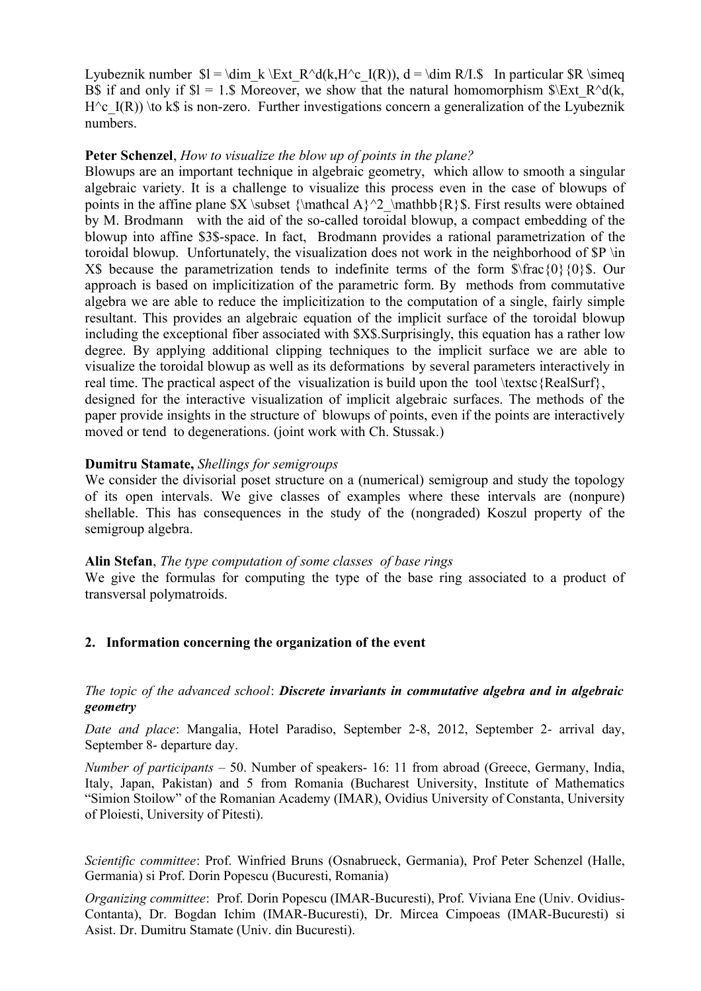Lyubeznik number  $I = \dim k \Ext R^d(k, H^c I(R))$ , d = \dim R/I.\$ In particular  $R \simeq$ B\$ if and only if  $I = 1.5$  Moreover, we show that the natural homomorphism  $I \Sigma x$ t R^d(k, H $\degree$ c I(R)) \to k\$ is non-zero. Further investigations concern a generalization of the Lyubeznik numbers.

## **Peter Schenzel**, *How to visualize the blow up of points in the plane?*

Blowups are an important technique in algebraic geometry, which allow to smooth a singular algebraic variety. It is a challenge to visualize this process even in the case of blowups of points in the affine plane  $X \subset \mathbb{A}^2 \mathbb{R}$ . First results were obtained by M. Brodmann with the aid of the so-called toroidal blowup, a compact embedding of the blowup into affine \$3\$-space. In fact, Brodmann provides a rational parametrization of the toroidal blowup. Unfortunately, the visualization does not work in the neighborhood of \$P \in X\$ because the parametrization tends to indefinite terms of the form  $\frac{\pi}{3}$  (0}{0}\$. Our approach is based on implicitization of the parametric form. By methods from commutative algebra we are able to reduce the implicitization to the computation of a single, fairly simple resultant. This provides an algebraic equation of the implicit surface of the toroidal blowup including the exceptional fiber associated with \$X\$.Surprisingly, this equation has a rather low degree. By applying additional clipping techniques to the implicit surface we are able to visualize the toroidal blowup as well as its deformations by several parameters interactively in real time. The practical aspect of the visualization is build upon the tool \textsc {RealSurf}, designed for the interactive visualization of implicit algebraic surfaces. The methods of the paper provide insights in the structure of blowups of points, even if the points are interactively moved or tend to degenerations. (joint work with Ch. Stussak.)

## **Dumitru Stamate,** *Shellings for semigroups*

We consider the divisorial poset structure on a (numerical) semigroup and study the topology of its open intervals. We give classes of examples where these intervals are (nonpure) shellable. This has consequences in the study of the (nongraded) Koszul property of the semigroup algebra.

## **Alin Stefan**, *The type computation of some classes of base rings*

We give the formulas for computing the type of the base ring associated to a product of transversal polymatroids.

## **2. Information concerning the organization of the event**

## *The topic of the advanced school*: *Discrete invariants in commutative algebra and in algebraic geometry*

*Date and place*: Mangalia, Hotel Paradiso, September 2-8, 2012, September 2- arrival day, September 8- departure day.

*Number of participants* – 50. Number of speakers- 16: 11 from abroad (Greece, Germany, India, Italy, Japan, Pakistan) and 5 from Romania (Bucharest University, Institute of Mathematics "Simion Stoilow" of the Romanian Academy (IMAR), Ovidius University of Constanta, University of Ploiesti, University of Pitesti).

*Scientific committee*: Prof. Winfried Bruns (Osnabrueck, Germania), Prof Peter Schenzel (Halle, Germania) si Prof. Dorin Popescu (Bucuresti, Romania)

*Organizing committee*: Prof. Dorin Popescu (IMAR-Bucuresti), Prof. Viviana Ene (Univ. Ovidius-Contanta), Dr. Bogdan Ichim (IMAR-Bucuresti), Dr. Mircea Cimpoeas (IMAR-Bucuresti) si Asist. Dr. Dumitru Stamate (Univ. din Bucuresti).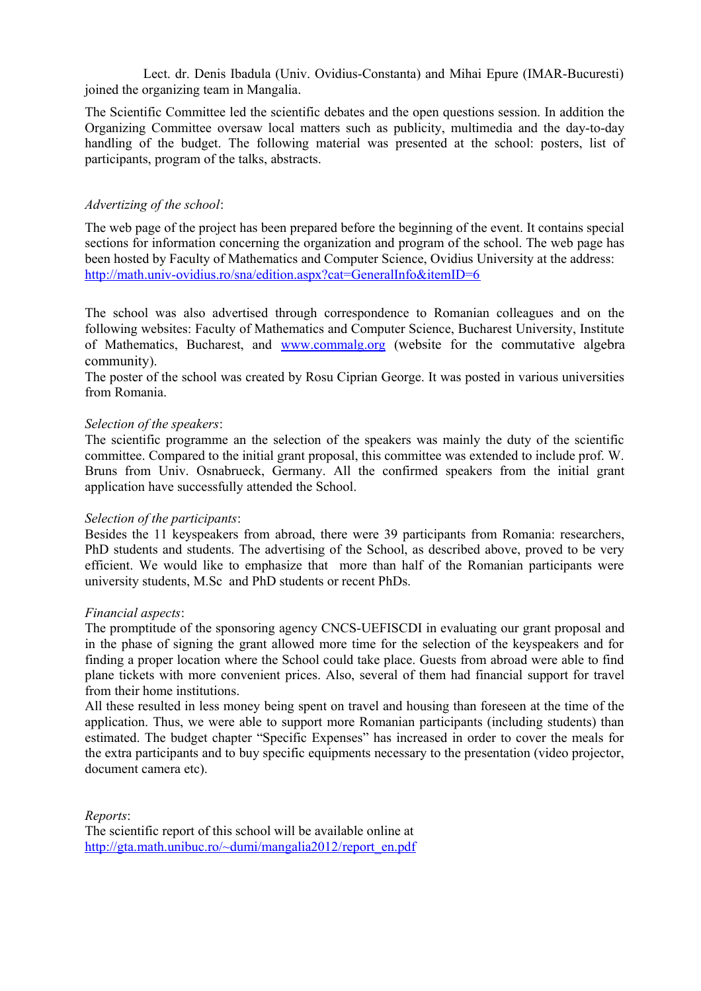Lect. dr. Denis Ibadula (Univ. Ovidius-Constanta) and Mihai Epure (IMAR-Bucuresti) joined the organizing team in Mangalia.

The Scientific Committee led the scientific debates and the open questions session. In addition the Organizing Committee oversaw local matters such as publicity, multimedia and the day-to-day handling of the budget. The following material was presented at the school: posters, list of participants, program of the talks, abstracts.

#### *Advertizing of the school*:

The web page of the project has been prepared before the beginning of the event. It contains special sections for information concerning the organization and program of the school. The web page has been hosted by Faculty of Mathematics and Computer Science, Ovidius University at the address: <http://math.univ-ovidius.ro/sna/edition.aspx?cat=GeneralInfo&itemID=6>

The school was also advertised through correspondence to Romanian colleagues and on the following websites: Faculty of Mathematics and Computer Science, Bucharest University, Institute of Mathematics, Bucharest, and [www.commalg.org](http://www.commalg.org/) (website for the commutative algebra community).

The poster of the school was created by Rosu Ciprian George. It was posted in various universities from Romania.

#### *Selection of the speakers*:

The scientific programme an the selection of the speakers was mainly the duty of the scientific committee. Compared to the initial grant proposal, this committee was extended to include prof. W. Bruns from Univ. Osnabrueck, Germany. All the confirmed speakers from the initial grant application have successfully attended the School.

#### *Selection of the participants*:

Besides the 11 keyspeakers from abroad, there were 39 participants from Romania: researchers, PhD students and students. The advertising of the School, as described above, proved to be very efficient. We would like to emphasize that more than half of the Romanian participants were university students, M.Sc and PhD students or recent PhDs.

#### *Financial aspects*:

The promptitude of the sponsoring agency CNCS-UEFISCDI in evaluating our grant proposal and in the phase of signing the grant allowed more time for the selection of the keyspeakers and for finding a proper location where the School could take place. Guests from abroad were able to find plane tickets with more convenient prices. Also, several of them had financial support for travel from their home institutions.

All these resulted in less money being spent on travel and housing than foreseen at the time of the application. Thus, we were able to support more Romanian participants (including students) than estimated. The budget chapter "Specific Expenses" has increased in order to cover the meals for the extra participants and to buy specific equipments necessary to the presentation (video projector, document camera etc).

*Reports*: The scientific report of this school will be available online at http://gta.math.unibuc.ro/~dumi/mangalia2012/report\_en.pdf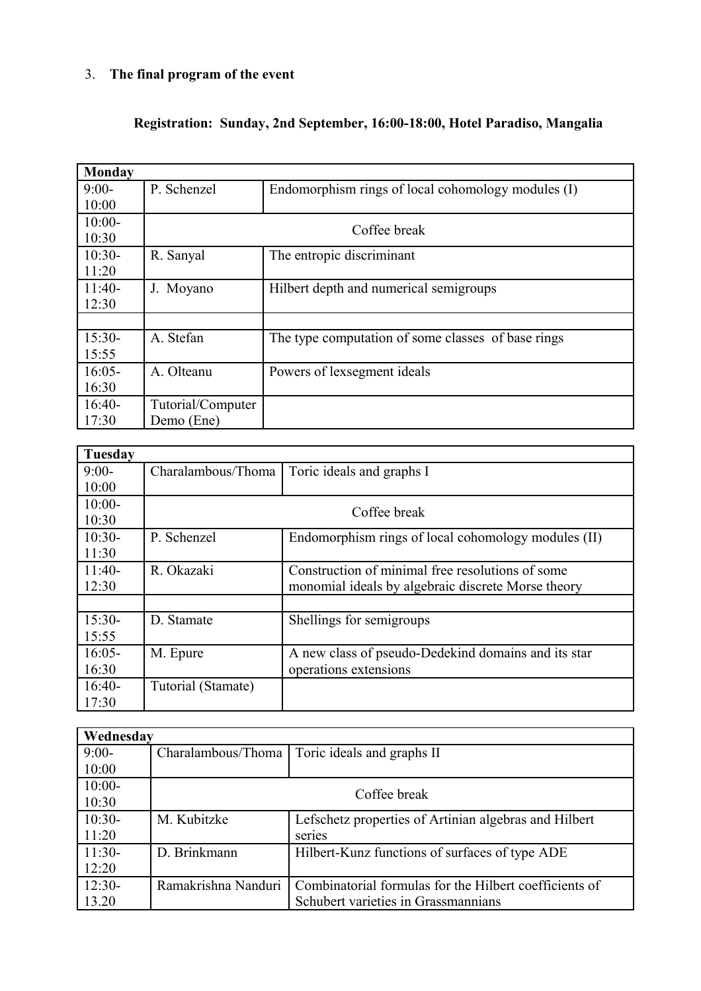# 3. **The final program of the event**

# **Registration: Sunday, 2nd September, 16:00-18:00, Hotel Paradiso, Mangalia**

| <b>Monday</b> |                   |                                                    |  |  |
|---------------|-------------------|----------------------------------------------------|--|--|
| $9:00-$       | P. Schenzel       | Endomorphism rings of local cohomology modules (I) |  |  |
| 10:00         |                   |                                                    |  |  |
| $10:00-$      | Coffee break      |                                                    |  |  |
| 10:30         |                   |                                                    |  |  |
| $10:30-$      | R. Sanyal         | The entropic discriminant                          |  |  |
| 11:20         |                   |                                                    |  |  |
| $11:40-$      | J. Moyano         | Hilbert depth and numerical semigroups             |  |  |
| 12:30         |                   |                                                    |  |  |
|               |                   |                                                    |  |  |
| $15:30-$      | A. Stefan         | The type computation of some classes of base rings |  |  |
| 15:55         |                   |                                                    |  |  |
| $16:05-$      | A. Olteanu        | Powers of lexsegment ideals                        |  |  |
| 16:30         |                   |                                                    |  |  |
| $16:40-$      | Tutorial/Computer |                                                    |  |  |
| 17:30         | Demo (Ene)        |                                                    |  |  |

| Tuesday  |                    |                                                     |  |
|----------|--------------------|-----------------------------------------------------|--|
| $9:00-$  | Charalambous/Thoma | Toric ideals and graphs I                           |  |
| 10:00    |                    |                                                     |  |
| $10:00-$ |                    |                                                     |  |
| 10:30    | Coffee break       |                                                     |  |
| $10:30-$ | P. Schenzel        | Endomorphism rings of local cohomology modules (II) |  |
| 11:30    |                    |                                                     |  |
| $11:40-$ | R. Okazaki         | Construction of minimal free resolutions of some    |  |
| 12:30    |                    | monomial ideals by algebraic discrete Morse theory  |  |
|          |                    |                                                     |  |
| $15:30-$ | D. Stamate         | Shellings for semigroups                            |  |
| 15:55    |                    |                                                     |  |
| $16:05-$ | M. Epure           | A new class of pseudo-Dedekind domains and its star |  |
| 16:30    |                    | operations extensions                               |  |
| $16:40-$ | Tutorial (Stamate) |                                                     |  |
| 17:30    |                    |                                                     |  |

| Wednesday |                     |                                                        |  |  |
|-----------|---------------------|--------------------------------------------------------|--|--|
| $9:00-$   | Charalambous/Thoma  | Toric ideals and graphs II                             |  |  |
| 10:00     |                     |                                                        |  |  |
| $10:00-$  | Coffee break        |                                                        |  |  |
| 10:30     |                     |                                                        |  |  |
| $10:30-$  | M. Kubitzke         | Lefschetz properties of Artinian algebras and Hilbert  |  |  |
| 11:20     |                     | series                                                 |  |  |
| $11:30-$  | D. Brinkmann        | Hilbert-Kunz functions of surfaces of type ADE         |  |  |
| 12:20     |                     |                                                        |  |  |
| $12:30-$  | Ramakrishna Nanduri | Combinatorial formulas for the Hilbert coefficients of |  |  |
| 13.20     |                     | Schubert varieties in Grassmannians                    |  |  |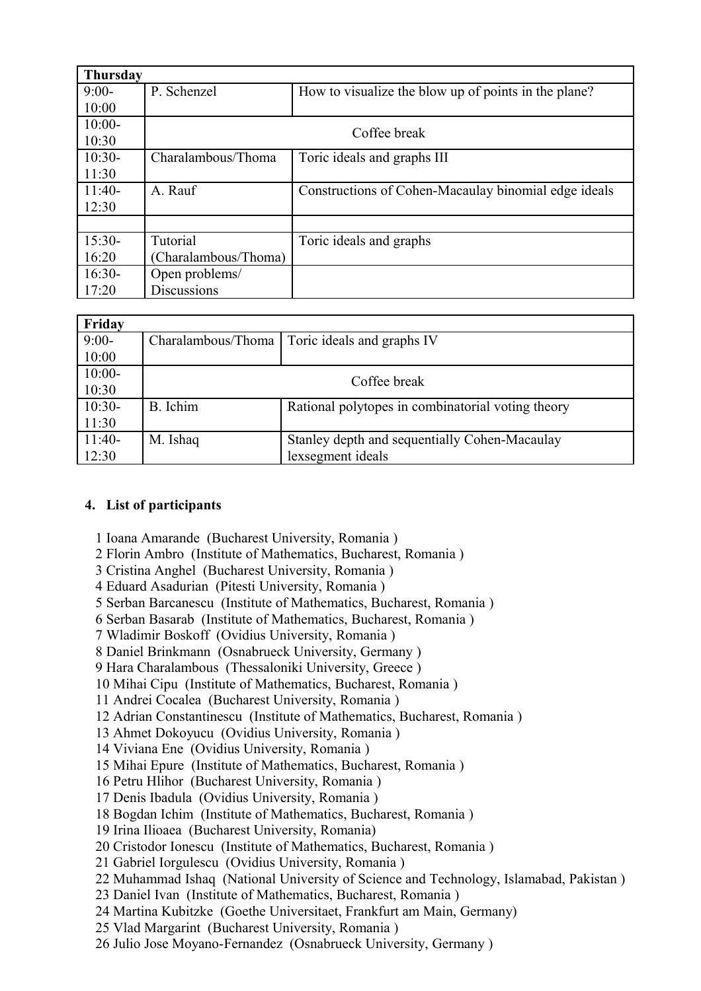| <b>Thursday</b> |                      |                                                      |  |  |
|-----------------|----------------------|------------------------------------------------------|--|--|
| $9:00-$         | P. Schenzel          | How to visualize the blow up of points in the plane? |  |  |
| 10:00           |                      |                                                      |  |  |
| $10:00-$        |                      |                                                      |  |  |
| 10:30           | Coffee break         |                                                      |  |  |
| $10:30-$        | Charalambous/Thoma   | Toric ideals and graphs III                          |  |  |
| 11:30           |                      |                                                      |  |  |
| $11:40-$        | A. Rauf              | Constructions of Cohen-Macaulay binomial edge ideals |  |  |
| 12:30           |                      |                                                      |  |  |
|                 |                      |                                                      |  |  |
| $15:30-$        | Tutorial             | Toric ideals and graphs                              |  |  |
| 16:20           | (Charalambous/Thoma) |                                                      |  |  |
| $16:30-$        | Open problems/       |                                                      |  |  |
| 17:20           | <b>Discussions</b>   |                                                      |  |  |

| Friday   |                    |                                                   |
|----------|--------------------|---------------------------------------------------|
| $9:00-$  | Charalambous/Thoma | Toric ideals and graphs IV                        |
| 10:00    |                    |                                                   |
| $10:00-$ |                    |                                                   |
| 10:30    | Coffee break       |                                                   |
| $10:30-$ | B. Ichim           | Rational polytopes in combinatorial voting theory |
| 11:30    |                    |                                                   |
| $11:40-$ | M. Ishaq           | Stanley depth and sequentially Cohen-Macaulay     |
| 12:30    |                    | lexsegment ideals                                 |

# **4. List of participants**

1 Ioana Amarande (Bucharest University, Romania )

2 Florin Ambro (Institute of Mathematics, Bucharest, Romania )

3 Cristina Anghel (Bucharest University, Romania )

4 Eduard Asadurian (Pitesti University, Romania )

5 Serban Barcanescu (Institute of Mathematics, Bucharest, Romania )

6 Serban Basarab (Institute of Mathematics, Bucharest, Romania )

7 Wladimir Boskoff (Ovidius University, Romania )

8 Daniel Brinkmann (Osnabrueck University, Germany )

9 Hara Charalambous (Thessaloniki University, Greece )

10 Mihai Cipu (Institute of Mathematics, Bucharest, Romania )

11 Andrei Cocalea (Bucharest University, Romania )

12 Adrian Constantinescu (Institute of Mathematics, Bucharest, Romania )

13 Ahmet Dokoyucu (Ovidius University, Romania )

14 Viviana Ene (Ovidius University, Romania )

15 Mihai Epure (Institute of Mathematics, Bucharest, Romania )

16 Petru Hlihor (Bucharest University, Romania )

17 Denis Ibadula (Ovidius University, Romania )

18 Bogdan Ichim (Institute of Mathematics, Bucharest, Romania )

19 Irina Ilioaea (Bucharest University, Romania)

20 Cristodor Ionescu (Institute of Mathematics, Bucharest, Romania )

21 Gabriel Iorgulescu (Ovidius University, Romania )

22 Muhammad Ishaq (National University of Science and Technology, Islamabad, Pakistan )

23 Daniel Ivan (Institute of Mathematics, Bucharest, Romania )

24 Martina Kubitzke (Goethe Universitaet, Frankfurt am Main, Germany)

25 Vlad Margarint (Bucharest University, Romania )

26 Julio Jose Moyano-Fernandez (Osnabrueck University, Germany )